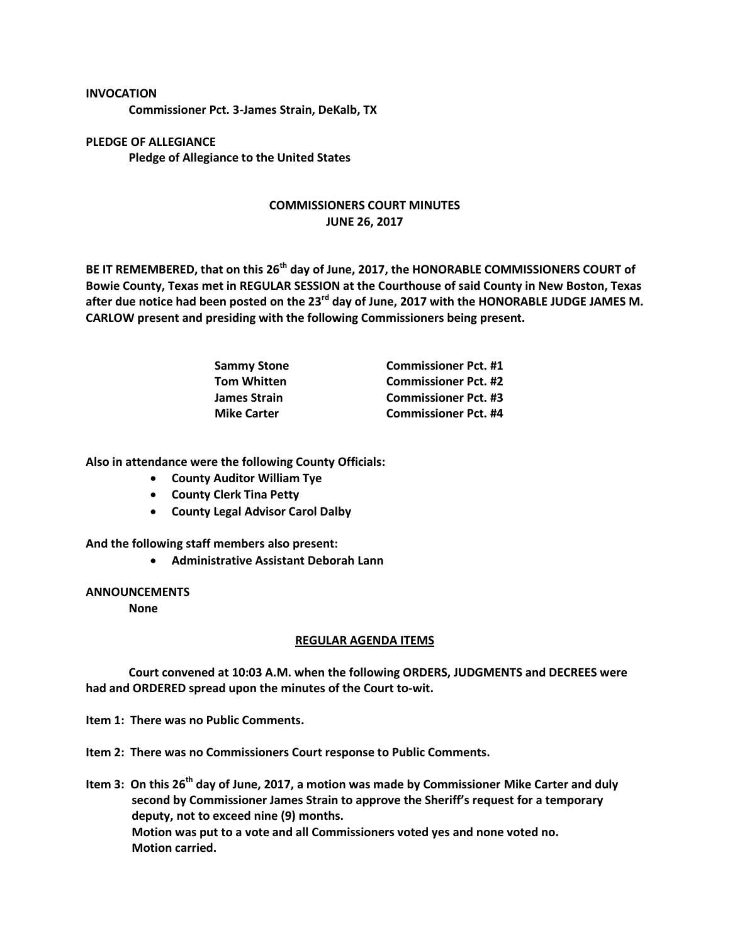## **INVOCATION**

**Commissioner Pct. 3-James Strain, DeKalb, TX**

**PLEDGE OF ALLEGIANCE Pledge of Allegiance to the United States**

## **COMMISSIONERS COURT MINUTES JUNE 26, 2017**

**BE IT REMEMBERED, that on this 26th day of June, 2017, the HONORABLE COMMISSIONERS COURT of Bowie County, Texas met in REGULAR SESSION at the Courthouse of said County in New Boston, Texas after due notice had been posted on the 23rd day of June, 2017 with the HONORABLE JUDGE JAMES M. CARLOW present and presiding with the following Commissioners being present.**

| <b>Sammy Stone</b>  | <b>Commissioner Pct. #1</b> |
|---------------------|-----------------------------|
| <b>Tom Whitten</b>  | <b>Commissioner Pct. #2</b> |
| <b>James Strain</b> | <b>Commissioner Pct. #3</b> |
| <b>Mike Carter</b>  | <b>Commissioner Pct. #4</b> |

**Also in attendance were the following County Officials:**

- **County Auditor William Tye**
- **County Clerk Tina Petty**
- **County Legal Advisor Carol Dalby**

**And the following staff members also present:**

**Administrative Assistant Deborah Lann**

## **ANNOUNCEMENTS**

**None**

## **REGULAR AGENDA ITEMS**

**Court convened at 10:03 A.M. when the following ORDERS, JUDGMENTS and DECREES were had and ORDERED spread upon the minutes of the Court to-wit.**

**Item 1: There was no Public Comments.**

**Item 2: There was no Commissioners Court response to Public Comments.**

**Item 3: On this 26th day of June, 2017, a motion was made by Commissioner Mike Carter and duly second by Commissioner James Strain to approve the Sheriff's request for a temporary deputy, not to exceed nine (9) months. Motion was put to a vote and all Commissioners voted yes and none voted no. Motion carried.**